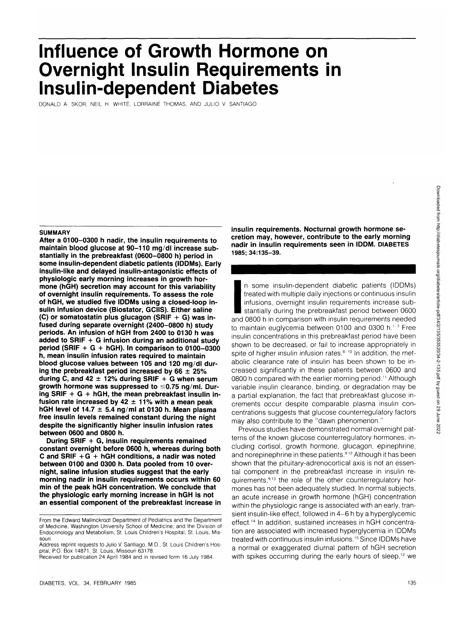# **Influence of Growth Hormone on Overnight Insulin Requirements in Insulin-dependent Diabetes**

DONALD A. SKOR, NEIL H. WHITE, LORRAINE THOMAS, AND JULIO V. SANTIAGO

#### **SUMMARY**

**After a 0100-0300 h nadir, the insulin requirements to maintain blood glucose at 90-110 mg/dl increase substantially in the prebreakfast (0600-0800 h) period in some insulin-dependent diabetic patients (IDDMs). Early insulin-like and delayed insulin-antagonistic effects of physiologic early morning increases in growth hormone (hGH) secretion may account for this variability of overnight insulin requirements. To assess the role of hGH, we studied five IDDMs using a closed-loop insulin infusion device (Biostator, GCIIS). Either saline (C) or somatostatin plus glucagon (SRIF + G) was infused during separate overnight (2400-0800 h) study periods. An infusion of hGH from 2400 to 0130 h was added to SRIF + G infusion during an additional study period (SRIF + G + hGH). In comparison to 0100-0300 h, mean insulin infusion rates required to maintain blood glucose values between 105 and 120 mg/dl during the prebreakfast period increased by 66 ± 25% during C, and 42 ± 12% during SRIF + G when serum growth hormone was suppressed to <0.75 ng/ml. During SRIF + G + hGH, the mean prebreakfast insulin infusion rate increased by 42 ± 11% with a mean peak hGH level of 14.7 ± 5.4 ng/ml at 0130 h. Mean plasma free insulin levels remained constant during the night despite the significantly higher insulin infusion rates between 0600 and 0800 h.**

**During SRIF + G, insulin requirements remained constant overnight before 0600 h, whereas during both C and SRIF +G + hGH conditions, a nadir was noted between 0100 and 0300 h. Data pooled from 10 overnight, saline infusion studies suggest that the early morning nadir in insulin requirements occurs within 60 min of the peak hGH concentration. We conclude that the physiologic early morning increase in hGH is not an essential component of the prebreakfast increase in** **insulin requirements. Nocturnal growth hormone secretion may, however, contribute to the early morning nadir in insulin requirements seen in IDDM. DIABETES 1985; 34:135-39.**

 $\begin{bmatrix} 1963; \\ 1963; \\ \end{bmatrix}$ n some insulin-dependent diabetic patients (IDDMs) treated with multiple daily injections or continuous insulin infusions, overnight insulin requirements increase substantially during the prebreakfast period between 0600 and 0800 h in comparison with insulin requirements needed to maintain euglycemia between 0100 and 0300 h.<sup>1-7</sup> Free insulin concentrations in this prebreakfast period have been shown to be decreased, or fail to increase appropriately in spite of higher insulin infusion rates.<sup>8-10</sup> In addition, the metabolic clearance rate of insulin has been shown to be increased significantly in these patients between 0600 and 0800 h compared with the earlier morning period.<sup>11</sup> Although variable insulin clearance, binding, or degradation may be a partial explanation, the fact that prebreakfast glucose increments occur despite comparable plasma insulin concentrations suggests that glucose counterregulatory factors may also contribute to the "dawn phenomenon."

Previous studies have demonstrated normal overnight patterns of the known glucose counterregulatory hormones, including cortisol, growth hormone, glucagon, epinephrine, and norepinephrine in these patients.<sup>9,12</sup> Although it has been shown that the pituitary-adrenocortical axis is not an essential component in the prebreakfast increase in insulin requirements,<sup>9,13</sup> the role of the other counterregulatory hormones has not been adequately studied. In normal subjects, an acute increase in growth hormone (hGH) concentration within the physiologic range is associated with an early, transient insulin-like effect, followed in 4-6 h by a hyperglycemic effect.14 In addition, sustained increases in hGH concentration are associated with increased hyperglycemia in IDDMs treated with continuous insulin infusions.<sup>15</sup> Since IDDMs have a normal or exaggerated diurnal pattern of hGH secretion with spikes occurring during the early hours of sleep,<sup>12</sup> we

From the Edward Mallinckrodt Department of Pediatrics and the Department of Medicine, Washington University School of Medicine; and the Division of Endocrinology and Metabolism, St. Louis Children's Hospital, St. Louis, Missouri.

Address reprint requests to Julio V. Santiago, M.D., St. Louis Children's Hospital, P.O. Box 14871, St. Louis, Missouri 63178.

Received for publication 24 April 1984 and in revised form 16 July 1984.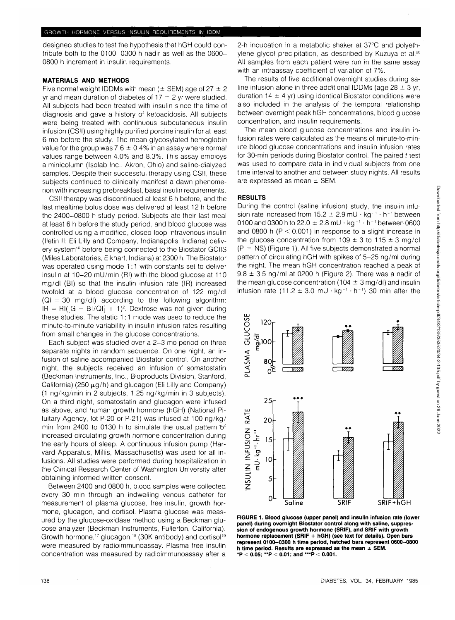designed studies to test the hypothesis that hGH could contribute both to the 0100-0300 h nadir as well as the 0600- 0800 h increment in insulin requirements.

## **MATERIALS AND METHODS**

Five normal weight IDDMs with mean ( $\pm$  SEM) age of 27  $\pm$  2 yr and mean duration of diabetes of  $17 \pm 2$  yr were studied. All subjects had been treated with insulin since the time of diagnosis and gave a history of ketoacidosis. All subjects were being treated with continuous subcutaneous insulin infusion (CSII) using highly purified porcine insulin for at least 6 mo before the study. The mean glycosylated hemoglobin value for the group was 7.6  $\pm$  0.4% in an assay where normal values range between 4.0% and 8.3%. This assay employs a minicolumn (Isolab Inc., Akron, Ohio) and saline-dialyzed samples. Despite their successful therapy using CSII, these subjects continued to clinically manifest a dawn phenomenon with increasing prebreakfast, basal insulin requirements.

CSII therapy was discontinued at least 6 h before, and the last mealtime bolus dose was delivered at least 12 h before the 2400-0800 h study period. Subjects ate their last meal at least 6 h before the study period, and blood glucose was controlled using a modified, closed-loop intravenous insulin (lletin II; Eli Lilly and Company, Indianapolis, Indiana) delivery system<sup>16</sup> before being connected to the Biostator GCIIS (Miles Laboratories, Elkhart, Indiana) at 2300 h. The Biostator was operated using mode 1:1 with constants set to deliver insulin at 10-20 mU/min (Rl) with the blood glucose at 110 mg/dl (Bl) so that the insulin infusion rate (IR) increased twofold at a blood glucose concentration of 122 mg/dl  $(Q) = 30$  mg/dl) according to the following algorithm:  $IR = RI([G - BI/QI] + 1)^2$ . Dextrose was not given during these studies. The static 1:1 mode was used to reduce the minute-to-minute variability in insulin infusion rates resulting from small changes in the glucose concentrations.

Each subject was studied over a 2-3 mo period on three separate nights in random sequence. On one night, an infusion of saline accompanied Biostator control. On another night, the subjects received an infusion of somatostatin (Beckman Instruments, Inc., Bioproducts Division, Stanford, California) (250  $\mu$ g/h) and glucagon (Eli Lilly and Company) (1 ng/kg/min in 2 subjects, 1.25 ng/kg/min in 3 subjects). On a third night, somatostatin and glucagon were infused as above, and human growth hormone (hGH) (National Pituitary Agency, lot P-20 or P-21) was infused at 100 ng/kg/ min from 2400 to 0130 h to simulate the usual pattern of increased circulating growth hormone concentration during the early hours of sleep. A continuous infusion pump (Harvard Apparatus, Millis, Massachusetts) was used for all infusions. All studies were performed during hospitalization in the Clinical Research Center of Washington University after obtaining informed written consent.

Between 2400 and 0800 h, blood samples were collected every 30 min through an indwelling venous catheter for measurement of plasma glucose, free insulin, growth hormone, glucagon, and cortisol. Plasma glucose was measured by the glucose-oxidase method using a Beckman glucose analyzer (Beckman Instruments, Fullerton, California). Growth hormone,<sup>17</sup> glucagon,<sup>18</sup> (30K antibody) and cortisol<sup>19</sup> were measured by radioimmunoassay. Plasma free insulin concentration was measured by radioimmunoassay after a 2-h incubation in a metabolic shaker at 37°C and polyethylene glycol precipitation, as described by Kuzuya et al.20 All samples from each patient were run in the same assay with an intraassay coefficient of variation of 7%.

The results of five additional overnight studies during saline infusion alone in three additional IDDMs (age  $28 \pm 3$  yr, duration 14  $\pm$  4 yr) using identical Biostator conditions were also included in the analysis of the temporal relationship between overnight peak hGH concentrations, blood glucose concentration, and insulin requirements.

The mean blood glucose concentrations and insulin infusion rates were calculated as the means of minute-to-minute blood glucose concentrations and insulin infusion rates for 30-min periods during Biostator control. The paired f-test was used to compare data in individual subjects from one time interval to another and between study nights. All results are expressed as mean ± SEM.

#### **RESULTS**

During the control (saline infusion) study, the insulin infusion rate increased from  $15.2 \pm 2.9$  mU  $\cdot$  kg<sup>-1</sup>  $\cdot$  h<sup>-1</sup> between 0100 and 0300 h to 22.0  $\pm$  2.8 mU  $\cdot$  kg<sup>-1</sup>  $\cdot$  h<sup>-1</sup> between 0600 and 0800 h ( $P < 0.001$ ) in response to a slight increase in the glucose concentration from  $109 \pm 3$  to  $115 \pm 3$  mg/dl  $(P = NS)$  (Figure 1). All five subjects demonstrated a normal pattern of circulating hGH with spikes of 5-25 ng/ml during the night. The mean hGH concentration reached a peak of  $9.8 \pm 3.5$  ng/ml at 0200 h (Figure 2). There was a nadir of the mean glucose concentration (104  $\pm$  3 mg/dl) and insulin infusion rate  $(11.2 \pm 3.0 \text{ mU} \cdot \text{kg}^{-1} \cdot \text{h}^{-1})$  30 min after the



**FIGURE 1. Blood glucose (upper panel) and insulin infusion rate (lower panel) during overnight Biostator control along with saline, suppression of endogenous growth hormone (SRIF), and SRIF with growth hormone replacement (SRIF + hGH) (see text for details). Open bars represent 0100-0300 h time period, hatched bars represent 0600-0800 h time period. Results are expressed as the mean ± SEM. \*P < 0.05; "P < 0.01; and \*\*\*P < 0.001.**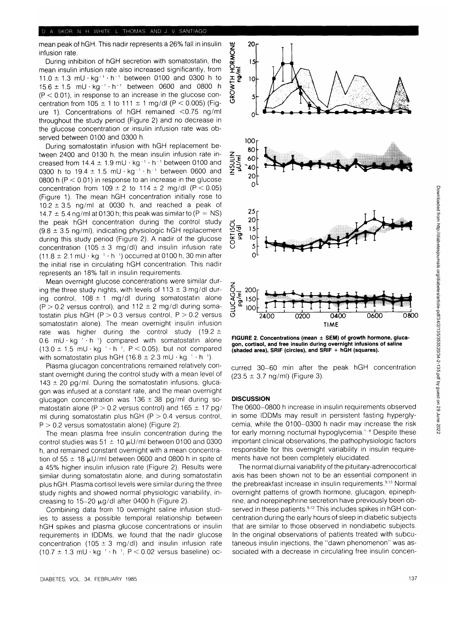mean peak of hGH. This nadir represents a 26% fall in insulin infusion rate.

During inhibition of hGH secretion with somatostatin, the mean insulin infusion rate also increased significantly, from  $11.0 \pm 1.3$  mU · kg<sup>-1</sup> · h<sup>-1</sup> between 0100 and 0300 h to  $15.6 \pm 1.5$  mU  $\cdot$  kg<sup>-1</sup>  $\cdot$  h<sup>-1</sup> between 0600 and 0800 h  $(P < 0.01)$ , in response to an increase in the glucose concentration from  $105 \pm 1$  to  $111 \pm 1$  mg/dl (P < 0.005) (Figure 1). Concentrations of hGH remained <0.75 ng/ml throughout the study period (Figure 2) and no decrease in the glucose concentration or insulin infusion rate was observed between 0100 and 0300 h.

During somatostatin infusion with hGH replacement between 2400 and 0130 h, the mean insulin infusion rate increased from  $14.4 \pm 1.9$  mU  $\cdot$  kg<sup>-1</sup>  $\cdot$  h<sup>-1</sup> between 0100 and 0300 h to  $19.4 \pm 1.5$  mU · kg<sup>-1</sup> · h<sup>-1</sup> between 0600 and 0800 h ( $P < 0.01$ ) in response to an increase in the glucose concentration from  $109 \pm 2$  to  $114 \pm 2$  mg/dl (P < 0.05) (Figure 1). The mean hGH concentration initially rose to  $10.2 \pm 3.5$  ng/ml at 0030 h, and reached a peak of 14.7  $\pm$  5.4 ng/ml at 0130 h; this peak was similar to (P = NS) the peak hGH concentration during the control study  $(9.8 \pm 3.5 \text{ ng/ml})$ , indicating physiologic hGH replacement during this study period (Figure 2). A nadir of the glucose concentration (105  $\pm$  3 mg/dl) and insulin infusion rate  $(11.8 \pm 2.1 \,\text{mU} \cdot \text{kg}^{-1} \cdot \text{h}^{-1})$  occurred at 0100 h, 30 min after the initial rise in circulating hGH concentration. This nadir represents an 18% fall in insulin requirements.

Mean overnight glucose concentrations were similar during the three study nights, with levels of  $113 \pm 3$  mg/dl during control,  $108 \pm 1$  mg/dl during somatostatin alone  $(P > 0.2$  versus control), and 112  $\pm$  2 mg/dl during somatostatin plus hGH ( $P > 0.3$  versus control,  $P > 0.2$  versus somatostatin alone). The mean overnight insulin infusion rate was higher during the control study (19.2  $\pm$  $0.6$  mU · kg<sup>-1</sup> · h<sup>-1</sup>) compared with somatostatin alone  $(13.0 \pm 1.5 \text{ mU} \cdot \text{kg}^{-1} \cdot \text{h}^{-1}$ , P < 0.05), but not compared with somatostatin plus hGH (16.8  $\pm$  2.3 mU  $\cdot$  kg<sup>-1</sup>  $\cdot$  h<sup>-1</sup>).

Plasma glucagon concentrations remained relatively constant overnight during the control study with a mean level of  $143 \pm 20$  pg/ml. During the somatostatin infusions, glucagon was infused at a constant rate, and the mean overnight glucagon concentration was  $136 \pm 38$  pg/ml during somatostatin alone (P  $>$  0.2 versus control) and 165  $\pm$  17 pg/ ml during somatostatin plus hGH ( $P > 0.4$  versus control,  $P > 0.2$  versus somatostatin alone) (Figure 2).

The mean plasma free insulin concentration during the control studies was  $51 \pm 10 \,\mu$ U/ml between 0100 and 0300 h, and remained constant overnight with a mean concentration of 55  $\pm$  18 µU/ml between 0600 and 0800 h in spite of a 45% higher insulin infusion rate (Figure 2). Results were similar during somatostatin alone, and during somatostatin plus hGH. Plasma cortisol levels were similar during the three study nights and showed normal physiologic variability, increasing to 15-20  $\mu$ g/dl after 0400 h (Figure 2).

Combining data from 10 overnight saline infusion studies to assess a possible temporal relationship between hGH spikes and plasma glucose concentrations or insulin requirements in IDDMs, we found that the nadir glucose concentration (105  $\pm$  3 mg/dl) and insulin infusion rate  $(10.7 \pm 1.3 \text{ mU} \cdot \text{kg}^{-1} \cdot \text{h}^{-1}$ , P < 0.02 versus baseline) oc-



**FIGURE 2. Concentrations (mean ± SEM) of growth hormone, glucagon, cortisol, and free insulin during overnight infusions of saline (shaded area), SRIF (circles), and SRIF + hGH (squares).**

curred 30-60 min after the peak hGH concentration  $(23.5 \pm 3.7 \text{ ng/ml})$  (Figure 3).

### **DISCUSSION**

The 0600-0800 h increase in insulin requirements observed in some IDDMs may result in persistent fasting hyperglycemia, while the 0100-0300 h nadir may increase the risk for early morning nocturnal hypoglycemia.<sup>1-8</sup> Despite these important clinical observations, the pathophysiologic factors responsible for this overnight variability in insulin requirements have not been completely elucidated.

The normal diurnal variability of the pituitary-adrenocortical axis has been shown not to be an essential component in the prebreakfast increase in insulin requirements.<sup>9,13</sup> Normal overnight patterns of growth hormone, glucagon, epinephrine, and norepinephrine secretion have previously been observed in these patients.<sup>9,12</sup> This includes spikes in hGH concentration during the early hours of sleep in diabetic subjects that are similar to those observed in nondiabetic subjects. In the original observations of patients treated with subcutaneous insulin injections, the "dawn phenomenon" was associated with a decrease in circulating free insulin concen-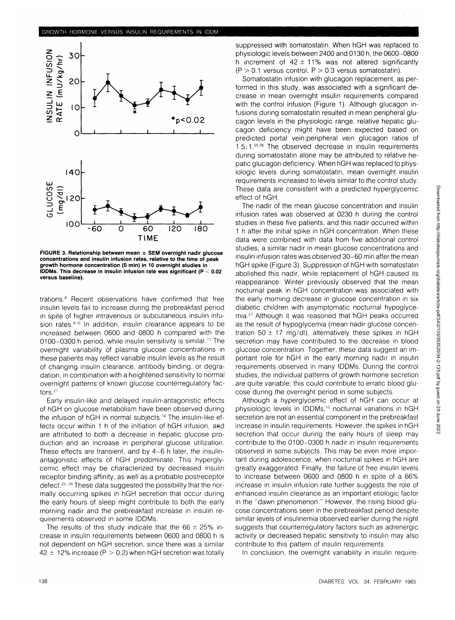

**FIGURE 3. Relationship between mean ± SEM overnight nadir glucose concentrations and insulin infusion rates, relative to the time of peak growth hormone concentration (0 min) in 10 overnight studies in IDDMs. This decrease in insulin infusion rate was significant (P < 0.02 versus baseline).**

trations.8 Recent observations have confirmed that free insulin levels fail to increase during the prebreakfast period in spite of higher intravenous or subcutaneous insulin infusion rates.<sup>9,10</sup> In addition, insulin clearance appears to be increased between 0600 and 0800 h compared with the 0100–0300 h period, while insulin sensitivity is similar.<sup>11</sup> The overnight variability of plasma glucose concentrations in these patients may reflect variable insulin levels as the result of changing insulin clearance, antibody binding, or degradation, in combination with a heightened sensitivity to normal overnight patterns of known glucose counterregulatory factors.21

Early insulin-like and delayed insulin-antagonistic effects of hGH on glucose metabolism have been observed during the infusion of hGH in normal subjects.<sup>14</sup> The insulin-like effects occur within 1 h of the initiation of hGH infusion, and are attributed to both a decrease in hepatic glucose production and an increase in peripheral glucose utilization. These effects are transient, and by 4-6 h later, the insulinantagonistic effects of hGH predominate. This hyperglycemic effect may be characterized by decreased insulin receptor binding affinity, as well as a probable postreceptor defect.<sup>22-24</sup> These data suggested the possibility that the normally occurring spikes in hGH secretion that occur during the early hours of sleep might contribute to both the early morning nadir and the prebreakfast increase in insulin requirements observed in some IDDMs.

The results of this study indicate that the  $66 \pm 25\%$  increase in insulin requirements between 0600 and 0800 h is not dependent on hGH secretion, since there was a similar  $42 \pm 12\%$  increase (P  $> 0.2$ ) when hGH secretion was totally

suppressed with somatostatin. When hGH was replaced to physiologic levels between 2400 and 0130 h, the 0600-0800 h increment of  $42 \pm 11\%$  was not altered significantly  $(P > 0.1$  versus control,  $P > 0.3$  versus somatostatin).

Somatostatin infusion with glucagon replacement, as performed in this study, was associated with a significant decrease in mean overnight insulin requirements compared with the control infusion (Figure 1). Although glucagon infusions during somatostatin resulted in mean peripheral glucagon levels in the physiologic range, relative hepatic glucagon deficiency might have been expected based on predicted portal vein:peripheral vein glucagon ratios of 1.5:1.<sup>2526</sup> The observed decrease in insulin requirements during somatostatin alone may be attributed to relative hepatic glucagon deficiency. When hGH was replaced to physiologic levels during somatostatin, mean overnight insulin requirements increased to levels similar to the control study. These data are consistent with a predicted hyperglycemic effect of hGH.

The nadir of the mean glucose concentration and insulin infusion rates was observed at 0230 h during the control studies in these five patients, and this nadir occurred within 1 h after the initial spike in hGH concentration. When these data were combined with data from five additional control studies, a similar nadir in mean glucose concentrations and insulin infusion rates was observed 30-60 min after the mean hGH spike (Figure 3). Suppression of hGH with somatostatin abolished this nadir, while replacement of hGH caused its reappearance. Winter previously observed that the mean nocturnal peak in hGH concentration was associated with the early morning decrease in glucose concentration in six diabetic children with asymptomatic nocturnal hypoglycemia.27 Although it was reasoned that hGH peaks occurred as the result of hypoglycemia (mean nadir glucose concentration 50  $\pm$  17 mg/dl), alternatively these spikes in hGH secretion may have contributed to the decrease in blood glucose concentration. Together, these data suggest an important role for hGH in the early morning nadir in insulin requirements observed in many IDDMs. During the control studies, the individual patterns of growth hormone secretion are quite variable; this could contribute to erratic blood glucose during the overnight period in some subjects.

Although a hyperglycemic effect of hGH can occur at physiologic levels in IDDMs,<sup>15</sup> nocturnal variations in hGH secretion are not an essential component in the prebreakfast increase in insulin requirements. However, the spikes in hGH secretion that occur during the early hours of sleep may contribute to the 0100-0300 h nadir in insulin requirements observed in some subjects. This may be even more important during adolescence, when nocturnal spikes in hGH are greatly exaggerated. Finally, the failure of free insulin levels to increase between 0600 and 0800 h in spite of a 66% increase in insulin infusion rate further suggests the role of enhanced insulin clearance as an important etiologic factor in the "dawn phenomenon." However, the rising blood glucose concentrations seen in the prebreakfast period despite similar levels of insulinemia observed earlier during the night suggests that counterregulatory factors such as adrenergic activity or decreased hepatic sensitivity to insulin may also contribute to this pattern of insulin requirements.

In conclusion, the overnight variability in insulin require-